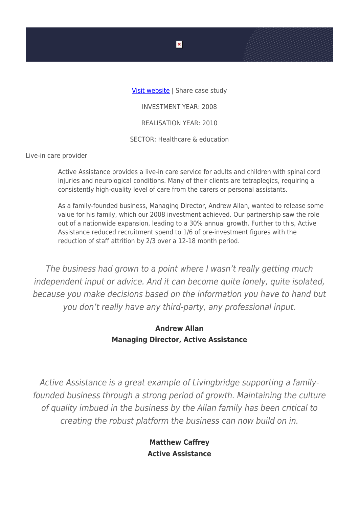[Visit website](https://activecaregroup.co.uk/) | Share case study

INVESTMENT YEAR: 2008

REALISATION YEAR: 2010

SECTOR: Healthcare & education

Live-in care provider

Active Assistance provides a live-in care service for adults and children with spinal cord injuries and neurological conditions. Many of their clients are tetraplegics, requiring a consistently high-quality level of care from the carers or personal assistants.

As a family-founded business, Managing Director, Andrew Allan, wanted to release some value for his family, which our 2008 investment achieved. Our partnership saw the role out of a nationwide expansion, leading to a 30% annual growth. Further to this, Active Assistance reduced recruitment spend to 1/6 of pre-investment figures with the reduction of staff attrition by 2/3 over a 12-18 month period.

The business had grown to a point where I wasn't really getting much independent input or advice. And it can become quite lonely, quite isolated, because you make decisions based on the information you have to hand but you don't really have any third-party, any professional input.

## **Andrew Allan Managing Director, Active Assistance**

Active Assistance is a great example of Livingbridge supporting a familyfounded business through a strong period of growth. Maintaining the culture of quality imbued in the business by the Allan family has been critical to creating the robust platform the business can now build on in.

> **Matthew Caffrey Active Assistance**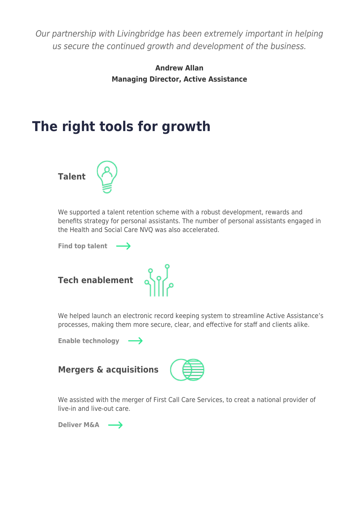Our partnership with Livingbridge has been extremely important in helping us secure the continued growth and development of the business.

> **Andrew Allan Managing Director, Active Assistance**

## **The right tools for growth**



We supported a talent retention scheme with a robust development, rewards and benefits strategy for personal assistants. The number of personal assistants engaged in the Health and Social Care NVQ was also accelerated.

[Find top talent](https://www.livingbridge.com/g_accelerator/talent/)  $\longrightarrow$ 



We helped launch an electronic record keeping system to streamline Active Assistance's processes, making them more secure, clear, and effective for staff and clients alike.

[Enable technology](https://www.livingbridge.com/g_accelerator/tech-enablement/)  $\rightarrow$ 





We assisted with the merger of First Call Care Services, to creat a national provider of live-in and live-out care.

**[Deliver M&A](https://www.livingbridge.com/g_accelerator/mergers-and-acquisitions/)**